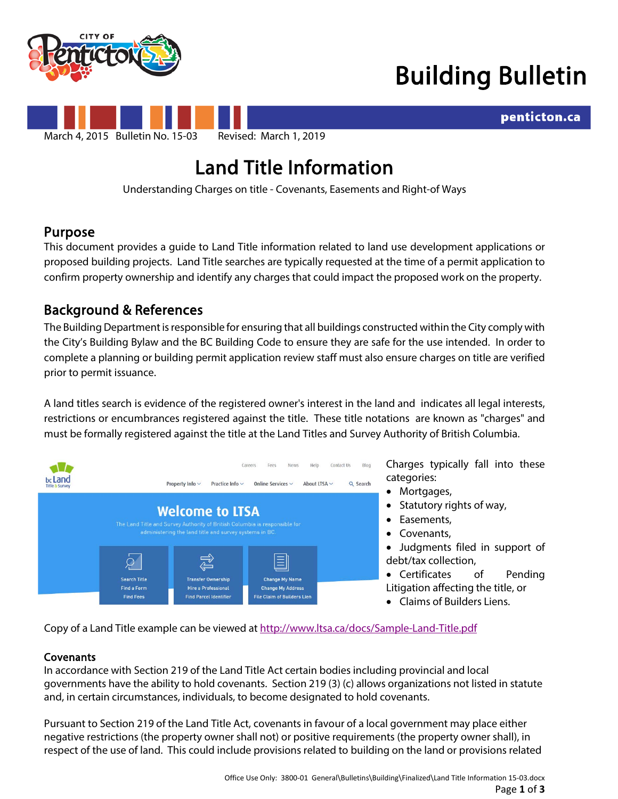

## Building Bulletin

penticton.ca



# **Land Title Information**<br>Understanding Charges on title - Covenants, Easements and Right-of Ways

**Purpose**<br>This document provides a guide to Land Title information related to land use development applications or proposed building projects. Land Title searches are typically requested at the time of a permit application to confirm property ownership and identify any charges that could impact the proposed work on the property.

## Background & References

The Building Department is responsible for ensuring that all buildings constructed within the City comply with the City's Building Bylaw and the BC Building Code to ensure they are safe for the use intended. In order to complete a planning or building permit application review staff must also ensure charges on title are verified prior to permit issuance.

A land titles search is evidence of the registered owner's interest in the land and indicates all legal interests, restrictions or encumbrances registered against the title. These title notations are known as "charges" and must be formally registered against the title at the Land Titles and Survey Authority of British Columbia.



Charges typically fall into these categories:

- Mortgages,
- Statutory rights of way,
- Easements,
- Covenants,

• Judgments filed in support of debt/tax collection,

- Certificates of Pending Litigation affecting the title, or
- Claims of Builders Liens.

Copy of a Land Title example can be viewed a[t http://www.ltsa.ca/docs/Sample-Land-Title.pdf](http://www.ltsa.ca/docs/Sample-Land-Title.pdf)

### Covenants

In accordance with Section 219 of the Land Title Act certain bodies including provincial and local governments have the ability to hold covenants. Section 219 (3) (c) allows organizations not listed in statute and, in certain circumstances, individuals, to become designated to hold covenants.

Pursuant to Section 219 of the Land Title Act, covenants in favour of a local government may place either negative restrictions (the property owner shall not) or positive requirements (the property owner shall), in respect of the use of land. This could include provisions related to building on the land or provisions related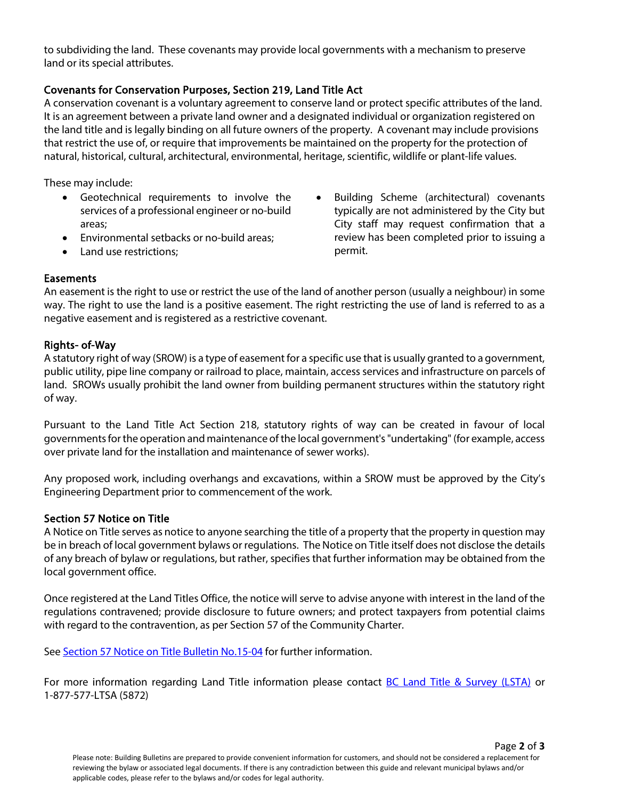to subdividing the land. These covenants may provide local governments with a mechanism to preserve land or its special attributes.

#### Covenants for Conservation Purposes, Section 219, Land Title Act

A conservation covenant is a voluntary agreement to conserve land or protect specific attributes of the land. It is an agreement between a private land owner and a designated individual or organization registered on the land title and is legally binding on all future owners of the property. A covenant may include provisions that restrict the use of, or require that improvements be maintained on the property for the protection of natural, historical, cultural, architectural, environmental, heritage, scientific, wildlife or plant-life values.

These may include:

- Geotechnical requirements to involve the services of a professional engineer or no-build areas;
- Environmental setbacks or no-build areas;
- Land use restrictions:

• Building Scheme (architectural) covenants typically are not administered by the City but City staff may request confirmation that a review has been completed prior to issuing a permit.

#### **Easements**

An easement is the right to use or restrict the use of the land of another person (usually a neighbour) in some way. The right to use the land is a positive easement. The right restricting the use of land is referred to as a negative easement and is registered as a restrictive covenant.

#### Rights- of-Way

A statutory right of way (SROW) is a type of easement for a specific use that is usually granted to a government, public utility, pipe line company or railroad to place, maintain, access services and infrastructure on parcels of land. SROWs usually prohibit the land owner from building permanent structures within the statutory right of way.

Pursuant to the Land Title Act Section 218, statutory rights of way can be created in favour of local governments for the operation and maintenance of the local government's "undertaking" (for example, access over private land for the installation and maintenance of sewer works).

Any proposed work, including overhangs and excavations, within a SROW must be approved by the City's Engineering Department prior to commencement of the work.

#### Section 57 Notice on Title

A Notice on Title serves as notice to anyone searching the title of a property that the property in question may be in breach of local government bylaws or regulations. The Notice on Title itself does not disclose the details of any breach of bylaw or regulations, but rather, specifies that further information may be obtained from the local government office.

Once registered at the Land Titles Office, the notice will serve to advise anyone with interest in the land of the regulations contravened; provide disclosure to future owners; and protect taxpayers from potential claims with regard to the contravention, as per Section 57 of the Community Charter.

See [Section 57 Notice on Title](https://www.penticton.ca/assets/Departments/Building/Bulletin/Bulletin%20Building%202015-04%20Section%2057%20Notice%20on%20Title.pdf) Bulletin No.15-04 for further information.

For more information regarding Land Title information please contact [BC Land Title & Survey \(LSTA\)](http://www.ltsa.ca/cms/what-is-a-land-title) or 1-877-577-LTSA (5872)